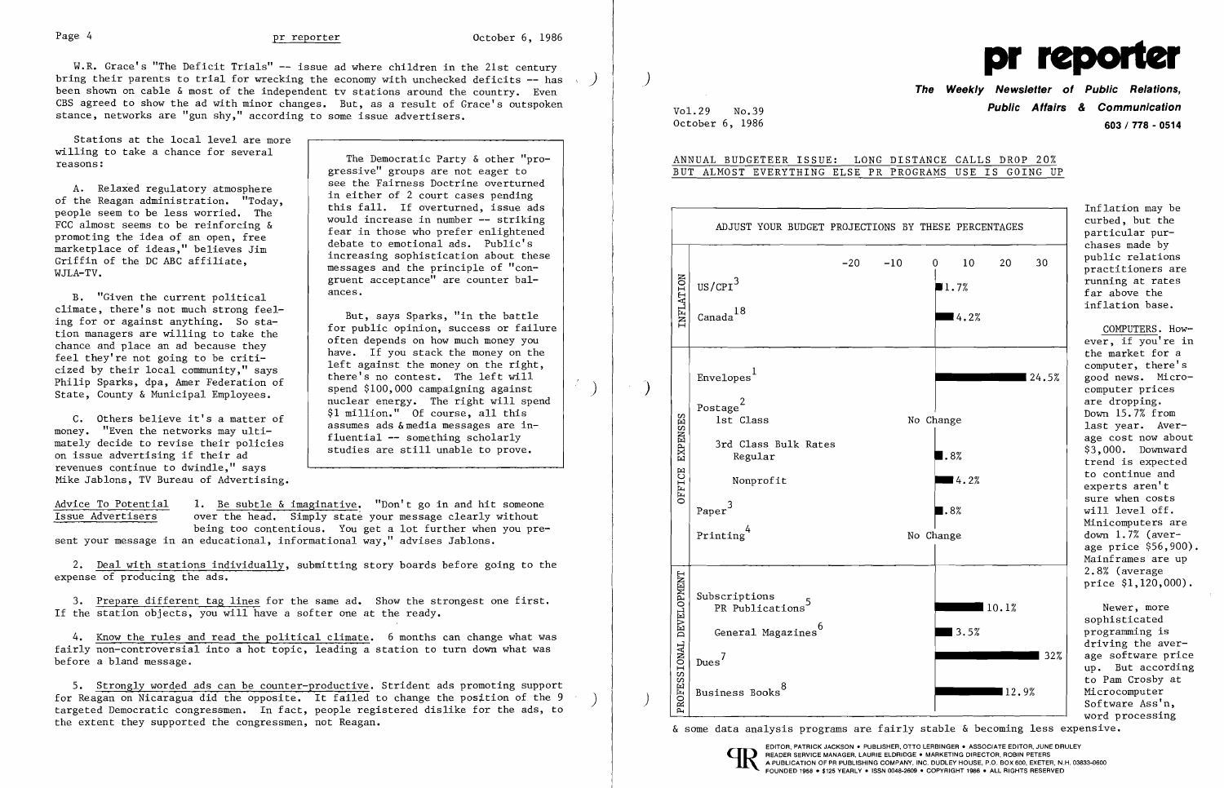W.R. Grace's "The Deficit Trials" -- issue ad where children in the 21st century principle is a property property property property property and the excel of the independent ty stations around the country Fyern and the se been shown on cable & most of the independent tv stations around the country. Even CBS agreed to show the ad with minor changes. But, as a result of Grace's outspoken stance, networks are "gun shy," according to some issue advertisers.

Stations at the local level are more

Griffin of the DC ABC affiliate,<br>WJLA-TV.

B. "Given the current political<br>climate, there's not much strong feelclimate, there's not much strong feel-<br>ing for or against anything. So sta-<br>tion managers are willing to take the<br>chance and place an ad because they<br>feel they're not going to be criti-<br>cized by their local community," say

willing to take a chance for several The Democratic Party & other "pro-<br>reasons: gressive" groups are not eager to<br>see the Fairness Doctrine overturned A. Relaxed regulatory atmosphere<br>
of the Reagan administration. "Today,<br>
people seem to be less worried. The<br>
FCC almost seems to be reinforcing &<br>
promoting the idea of an open, free<br>
marketplace of ideas," believes Jim<br> gruent acceptance" are counter bal-

State, County & Hunterpar Emproyees.<br>
C. Others believe it's a matter of<br>
money. "Even the networks may ulti-<br>
assumes ads & media messages are inassumes ads & media messages are in-<br>fluential -- something scholarly

mately decide to revise their policies are still unable to prove.<br>on issue advertising if their ad revenues continue to dwindle," says Mike Jablons, TV Bureau of Advertising.

Advice To Potential 1. Be subtle & imaginative. "Don't go in and hit someone<br>Issue Advertisers over the head. Simply state your message clearly without over the head. Simply state your message clearly without being too contentious. You get a lot further when you present your message in an educational, informational way," advises Jablons.

Vol. 29 No. 39 No. 39 **603/ 778 - 0514** 

Inflation may be chases made by<br>public relations

COMPUTERS. However, if you're in the market for a computer, there's<br>good news. Micro-Minicomputers are  $down \ 1.7%$  (average price \$56,900). Mainframes are up 2.8% (average price \$1,120,000).

driving the aver 32% age software price up. But according to Pam Crosby at Software Ass'n,<br>word processing

2. Deal with stations individually, submitting story boards before going to the expense of producing the ads.

3. Prepare different tag lines for the same ad. Show the strongest one first. If the station objects, you will have a softer one at the ready.

4. Know the rules and read the political climate. 6 months can change what was fairly non-controversial into a hot topic, leading a station to turn down what was before a bland message.

5. Strongly worded ads can be counter-productive. Strident ads promoting support for Reagan on Nicaragua did the opposite. It failed to change the position of the 9 targeted Democratic congressmen. In fact, people registered dislike for the ads, to the extent they supported the congressmen, not Reagan.

October 6, 1986

## ANNUAL BUDGETEER ISSUE: LONG DISTANCE CALLS DROP 20% BUT ALMOST EVERYTHING ELSE PR PROGRAMS USE IS GOING UP

|                          | ADJUST YOUR BUDGET PROJECTIONS BY THESE PERCENTAGES |                                                                                                                            |       |       |                                                        |                |       | curbed, but the<br>particular pur-<br>chases made by                                                                                                                                                                                                                                                                                                                                                         |
|--------------------------|-----------------------------------------------------|----------------------------------------------------------------------------------------------------------------------------|-------|-------|--------------------------------------------------------|----------------|-------|--------------------------------------------------------------------------------------------------------------------------------------------------------------------------------------------------------------------------------------------------------------------------------------------------------------------------------------------------------------------------------------------------------------|
| $\overline{\mathcal{X}}$ | INFLATION                                           | US/CPI <sup>3</sup><br>$\mbox{Canada}^{18}$                                                                                | $-20$ | $-10$ | 0<br>10 <sup>°</sup><br>1.7%<br>$\blacksquare$ 4.2%    | 20             | 30    | public relations<br>practitioners are<br>running at rates<br>far above the<br>inflation base.<br>COMPUTERS. How-                                                                                                                                                                                                                                                                                             |
|                          | EXPENSES                                            | Envelopes <sup>1</sup><br>Postage $^2$<br>1st Class<br>3rd Class Bulk Rates<br>Regular                                     |       |       | No Change<br>$\blacksquare$ .8%                        |                | 24.5% | ever, if you're in<br>the market for a<br>computer, there's<br>good news. Micro-<br>computer prices<br>are dropping.<br>Down 15.7% from<br>last year. Aver-<br>age cost now abou<br>\$3,000. Downward<br>trend is expected<br>to continue and<br>experts aren't<br>sure when costs<br>will level off.<br>Minicomputers are<br>down $1.7%$ (aver-<br>age price \$56,900<br>Mainframes are up<br>2.8% (average |
|                          | OFFICE                                              | Nonprofit<br>Paper <sup>3</sup><br>Printing $4$                                                                            |       |       | $\blacksquare$ 4.2%<br>$\blacksquare$ .8%<br>No Change |                |       |                                                                                                                                                                                                                                                                                                                                                                                                              |
|                          | PROFESSIONAL DEVELOPMENT                            | Subscriptions<br>PR Publications <sup>5</sup><br>General Magazines <sup>6</sup><br>$Dues^7$<br>Business Books <sup>8</sup> |       |       | 3.5%                                                   | 10.1%<br>12.9% | 32%   | price \$1,120,000)<br>Newer, more<br>sophisticated<br>programming is<br>driving the aver-<br>age software pric<br>up. But accordin<br>to Pam Crosby at<br>Microcomputer<br>Software Ass'n,<br>word processing                                                                                                                                                                                                |



& some data analysis programs are fairly stable & becoming less expensive.





EDITOR, PATRICK JACKSON' PUBLISHER, OTTO LERBINGER • ASSOCIATE EDITOR, JUNE DRULEY READER SERVICE MANAGER, LAURIE ELDRIDGE . MARKETING DIRECTOR, ROBIN PETERS A PUBLICATION OF PR PUBLISHING COMPANY, INC. DUDLEY HOUSE, P.O. BOX 600, EXETER, N.H. 03833-0600 FOUNDED 1958 • \$125 YEARLY. ISSN 0048-2609 • COPYRIGHT 1986 • ALL RIGHTS RESERVED